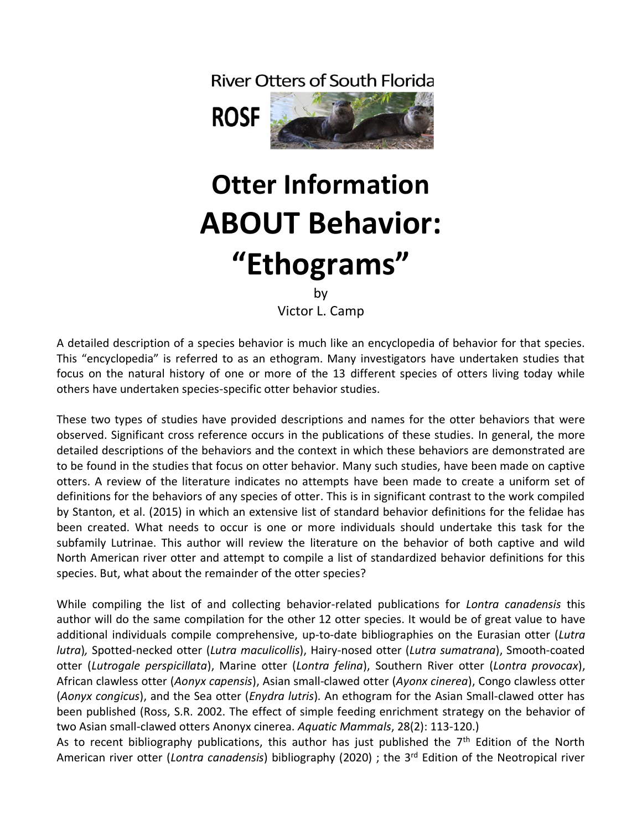## **River Otters of South Florida**





## **Otter Information ABOUT Behavior: "Ethograms"**

by

Victor L. Camp

A detailed description of a species behavior is much like an encyclopedia of behavior for that species. This "encyclopedia" is referred to as an ethogram. Many investigators have undertaken studies that focus on the natural history of one or more of the 13 different species of otters living today while others have undertaken species-specific otter behavior studies.

These two types of studies have provided descriptions and names for the otter behaviors that were observed. Significant cross reference occurs in the publications of these studies. In general, the more detailed descriptions of the behaviors and the context in which these behaviors are demonstrated are to be found in the studies that focus on otter behavior. Many such studies, have been made on captive otters. A review of the literature indicates no attempts have been made to create a uniform set of definitions for the behaviors of any species of otter. This is in significant contrast to the work compiled by Stanton, et al. (2015) in which an extensive list of standard behavior definitions for the felidae has been created. What needs to occur is one or more individuals should undertake this task for the subfamily Lutrinae. This author will review the literature on the behavior of both captive and wild North American river otter and attempt to compile a list of standardized behavior definitions for this species. But, what about the remainder of the otter species?

While compiling the list of and collecting behavior-related publications for *Lontra canadensis* this author will do the same compilation for the other 12 otter species. It would be of great value to have additional individuals compile comprehensive, up-to-date bibliographies on the Eurasian otter (*Lutra lutra*)*,* Spotted-necked otter (*Lutra maculicollis*), Hairy-nosed otter (*Lutra sumatrana*), Smooth-coated otter (*Lutrogale perspicillata*), Marine otter (*Lontra felina*), Southern River otter (*Lontra provocax*), African clawless otter (*Aonyx capensis*), Asian small-clawed otter (*Ayonx cinerea*), Congo clawless otter (*Aonyx congicus*), and the Sea otter (*Enydra lutris*)*.* An ethogram for the Asian Small-clawed otter has been published (Ross, S.R. 2002. The effect of simple feeding enrichment strategy on the behavior of two Asian small-clawed otters Anonyx cinerea. *Aquatic Mammals*, 28(2): 113-120.)

As to recent bibliography publications, this author has just published the  $7<sup>th</sup>$  Edition of the North American river otter (*Lontra canadensis*) bibliography (2020) ; the 3rd Edition of the Neotropical river